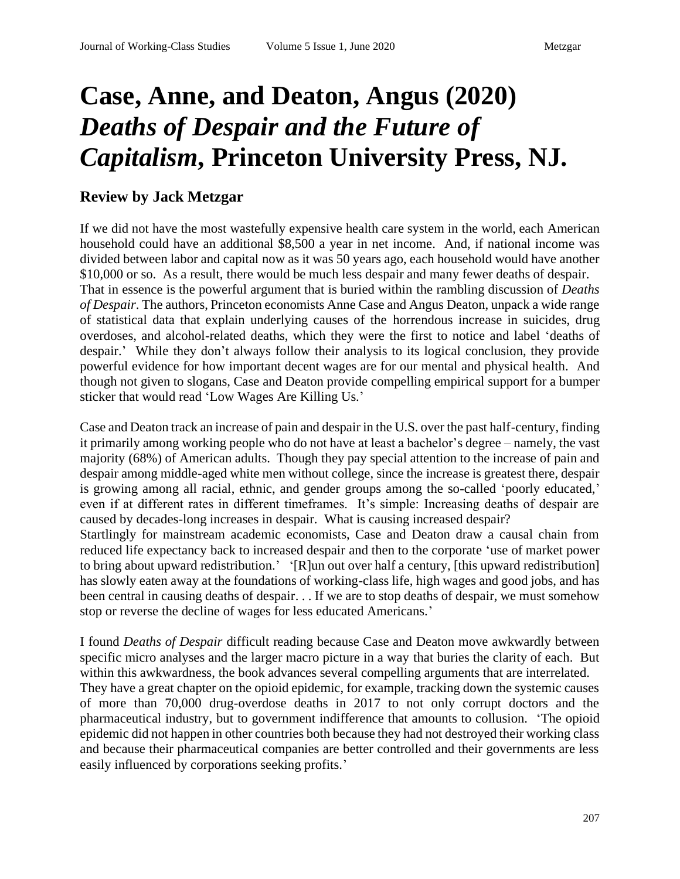## **Case, Anne, and Deaton, Angus (2020)**  *Deaths of Despair and the Future of Capitalism***, Princeton University Press, NJ.**

## **Review by Jack Metzgar**

If we did not have the most wastefully expensive health care system in the world, each American household could have an additional \$8,500 a year in net income. And, if national income was divided between labor and capital now as it was 50 years ago, each household would have another \$10,000 or so. As a result, there would be much less despair and many fewer deaths of despair. That in essence is the powerful argument that is buried within the rambling discussion of *Deaths of Despair*. The authors, Princeton economists Anne Case and Angus Deaton, unpack a wide range of statistical data that explain underlying causes of the horrendous increase in suicides, drug overdoses, and alcohol-related deaths, which they were the first to notice and label 'deaths of despair.' While they don't always follow their analysis to its logical conclusion, they provide powerful evidence for how important decent wages are for our mental and physical health. And though not given to slogans, Case and Deaton provide compelling empirical support for a bumper sticker that would read 'Low Wages Are Killing Us.'

Case and Deaton track an increase of pain and despair in the U.S. over the past half-century, finding it primarily among working people who do not have at least a bachelor's degree – namely, the vast majority (68%) of American adults. Though they pay special attention to the increase of pain and despair among middle-aged white men without college, since the increase is greatest there, despair is growing among all racial, ethnic, and gender groups among the so-called 'poorly educated,' even if at different rates in different timeframes. It's simple: Increasing deaths of despair are caused by decades-long increases in despair. What is causing increased despair? Startlingly for mainstream academic economists, Case and Deaton draw a causal chain from reduced life expectancy back to increased despair and then to the corporate 'use of market power to bring about upward redistribution.' '[R]un out over half a century, [this upward redistribution]

has slowly eaten away at the foundations of working-class life, high wages and good jobs, and has been central in causing deaths of despair. . . If we are to stop deaths of despair, we must somehow stop or reverse the decline of wages for less educated Americans.'

I found *Deaths of Despair* difficult reading because Case and Deaton move awkwardly between specific micro analyses and the larger macro picture in a way that buries the clarity of each. But within this awkwardness, the book advances several compelling arguments that are interrelated.

They have a great chapter on the opioid epidemic, for example, tracking down the systemic causes of more than 70,000 drug-overdose deaths in 2017 to not only corrupt doctors and the pharmaceutical industry, but to government indifference that amounts to collusion. 'The opioid epidemic did not happen in other countries both because they had not destroyed their working class and because their pharmaceutical companies are better controlled and their governments are less easily influenced by corporations seeking profits.'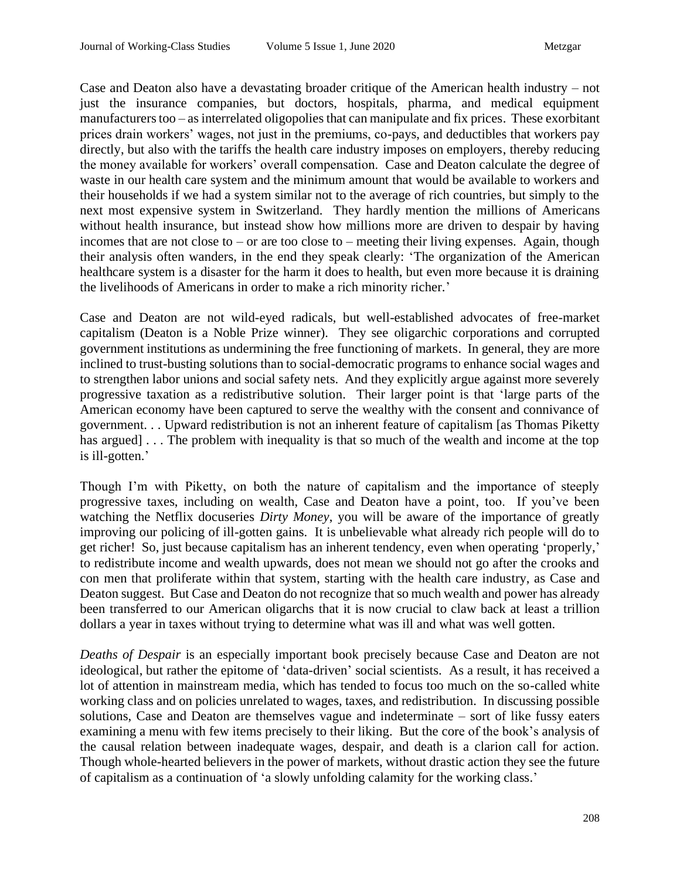Case and Deaton also have a devastating broader critique of the American health industry – not just the insurance companies, but doctors, hospitals, pharma, and medical equipment manufacturers too – as interrelated oligopolies that can manipulate and fix prices. These exorbitant prices drain workers' wages, not just in the premiums, co-pays, and deductibles that workers pay directly, but also with the tariffs the health care industry imposes on employers, thereby reducing the money available for workers' overall compensation. Case and Deaton calculate the degree of waste in our health care system and the minimum amount that would be available to workers and their households if we had a system similar not to the average of rich countries, but simply to the next most expensive system in Switzerland. They hardly mention the millions of Americans without health insurance, but instead show how millions more are driven to despair by having incomes that are not close to – or are too close to – meeting their living expenses. Again, though their analysis often wanders, in the end they speak clearly: 'The organization of the American healthcare system is a disaster for the harm it does to health, but even more because it is draining the livelihoods of Americans in order to make a rich minority richer.'

Case and Deaton are not wild-eyed radicals, but well-established advocates of free-market capitalism (Deaton is a Noble Prize winner). They see oligarchic corporations and corrupted government institutions as undermining the free functioning of markets. In general, they are more inclined to trust-busting solutions than to social-democratic programs to enhance social wages and to strengthen labor unions and social safety nets. And they explicitly argue against more severely progressive taxation as a redistributive solution. Their larger point is that 'large parts of the American economy have been captured to serve the wealthy with the consent and connivance of government. . . Upward redistribution is not an inherent feature of capitalism [as Thomas Piketty has argued] . . . The problem with inequality is that so much of the wealth and income at the top is ill-gotten.'

Though I'm with Piketty, on both the nature of capitalism and the importance of steeply progressive taxes, including on wealth, Case and Deaton have a point, too. If you've been watching the Netflix docuseries *Dirty Money*, you will be aware of the importance of greatly improving our policing of ill-gotten gains. It is unbelievable what already rich people will do to get richer! So, just because capitalism has an inherent tendency, even when operating 'properly,' to redistribute income and wealth upwards, does not mean we should not go after the crooks and con men that proliferate within that system, starting with the health care industry, as Case and Deaton suggest. But Case and Deaton do not recognize that so much wealth and power has already been transferred to our American oligarchs that it is now crucial to claw back at least a trillion dollars a year in taxes without trying to determine what was ill and what was well gotten.

*Deaths of Despair* is an especially important book precisely because Case and Deaton are not ideological, but rather the epitome of 'data-driven' social scientists. As a result, it has received a lot of attention in mainstream media, which has tended to focus too much on the so-called white working class and on policies unrelated to wages, taxes, and redistribution. In discussing possible solutions, Case and Deaton are themselves vague and indeterminate – sort of like fussy eaters examining a menu with few items precisely to their liking. But the core of the book's analysis of the causal relation between inadequate wages, despair, and death is a clarion call for action. Though whole-hearted believers in the power of markets, without drastic action they see the future of capitalism as a continuation of 'a slowly unfolding calamity for the working class.'